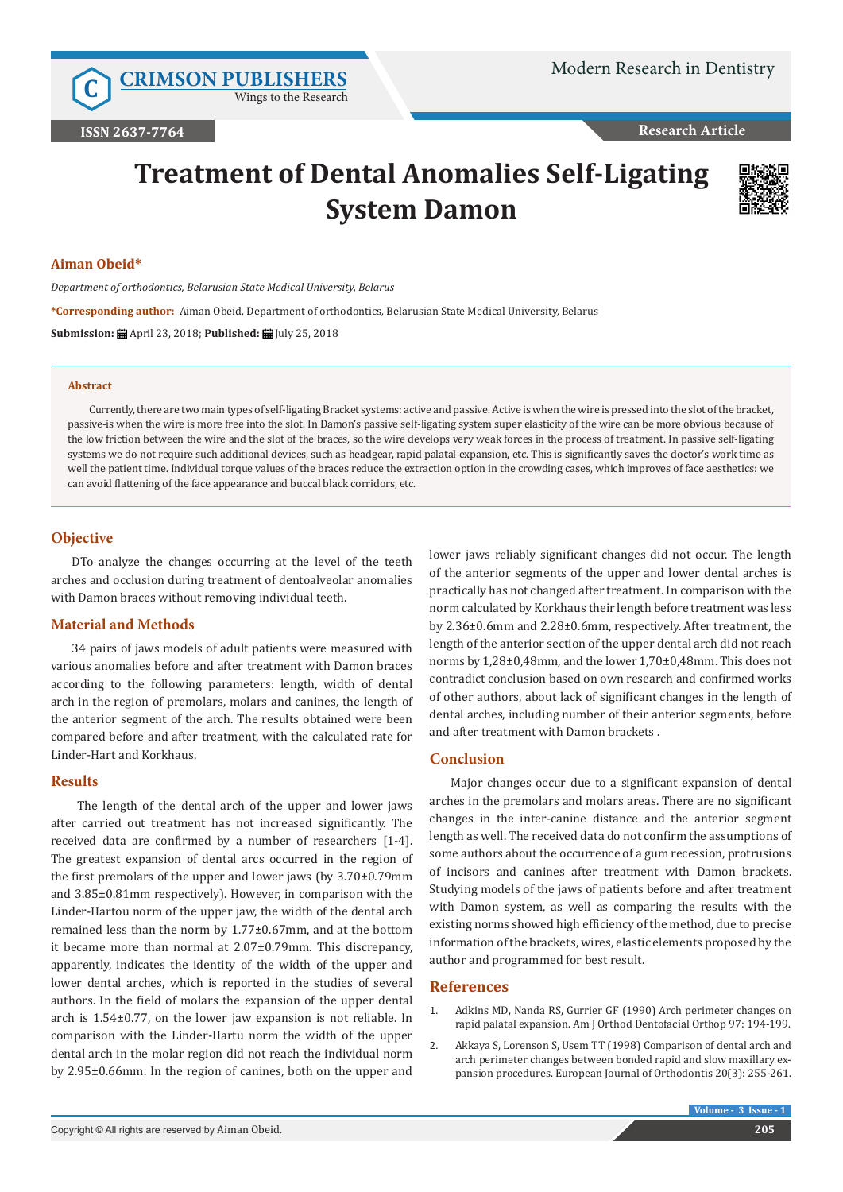**C [CRIMSON PUBLISHERS](http://crimsonpublishers.com/index.php)** Wings to the Research

**Research Article**

# **Treatment of Dental Anomalies Self-Ligating System Damon**



# **Aiman Obeid\***

*Department of orthodontics, Belarusian State Medical University, Belarus*

**\*Corresponding author:** Aiman Obeid, Department of orthodontics, Belarusian State Medical University, Belarus

**Submission:** April 23, 2018; **Published:** July 25, 2018

#### **Abstract**

Currently, there are two main types of self-ligating Bracket systems: active and passive. Active is when the wire is pressed into the slot of the bracket, passive-is when the wire is more free into the slot. In Damon's passive self-ligating system super elasticity of the wire can be more obvious because of the low friction between the wire and the slot of the braces, so the wire develops very weak forces in the process of treatment. In passive self-ligating systems we do not require such additional devices, such as headgear, rapid palatal expansion, etc. This is significantly saves the doctor's work time as well the patient time. Individual torque values of the braces reduce the extraction option in the crowding cases, which improves of face aesthetics: we can avoid flattening of the face appearance and buccal black corridors, etc.

## **Objective**

DTo analyze the changes occurring at the level of the teeth arches and occlusion during treatment of dentoalveolar anomalies with Damon braces without removing individual teeth.

## **Material and Methods**

34 pairs of jaws models of adult patients were measured with various anomalies before and after treatment with Damon braces according to the following parameters: length, width of dental arch in the region of premolars, molars and canines, the length of the anterior segment of the arch. The results obtained were been compared before and after treatment, with the calculated rate for Linder-Hart and Korkhaus.

#### **Results**

 The length of the dental arch of the upper and lower jaws after carried out treatment has not increased significantly. The received data are confirmed by a number of researchers [1-4]. The greatest expansion of dental arcs occurred in the region of the first premolars of the upper and lower jaws (by 3.70±0.79mm and 3.85±0.81mm respectively). However, in comparison with the Linder-Hartou norm of the upper jaw, the width of the dental arch remained less than the norm by 1.77±0.67mm, and at the bottom it became more than normal at 2.07±0.79mm. This discrepancy, apparently, indicates the identity of the width of the upper and lower dental arches, which is reported in the studies of several authors. In the field of molars the expansion of the upper dental arch is 1.54±0.77, on the lower jaw expansion is not reliable. In comparison with the Linder-Hartu norm the width of the upper dental arch in the molar region did not reach the individual norm by 2.95±0.66mm. In the region of canines, both on the upper and

lower jaws reliably significant changes did not occur. The length of the anterior segments of the upper and lower dental arches is practically has not changed after treatment. In comparison with the norm calculated by Korkhaus their length before treatment was less by 2.36±0.6mm and 2.28±0.6mm, respectively. After treatment, the length of the anterior section of the upper dental arch did not reach norms by 1,28±0,48mm, and the lower 1,70±0,48mm. This does not contradict conclusion based on own research and confirmed works of other authors, about lack of significant changes in the length of dental arches, including number of their anterior segments, before and after treatment with Damon brackets .

#### **Conclusion**

Major changes occur due to a significant expansion of dental arches in the premolars and molars areas. There are no significant changes in the inter-canine distance and the anterior segment length as well. The received data do not confirm the assumptions of some authors about the occurrence of a gum recession, protrusions of incisors and canines after treatment with Damon brackets. Studying models of the jaws of patients before and after treatment with Damon system, as well as comparing the results with the existing norms showed high efficiency of the method, due to precise information of the brackets, wires, elastic elements proposed by the author and programmed for best result.

# **References**

- 1. Adkins MD, Nanda RS, Gurrier GF (1990) [Arch perimeter changes on](https://www.ncbi.nlm.nih.gov/pubmed/2178393) rapid palatal [expansion. Am J Orthod Dentofacial Orthop 97:](https://www.ncbi.nlm.nih.gov/pubmed/2178393) 194-199.
- 2. Akkaya S, Lorenson S, Usem TT [\(1998\) Comparison of dental arch and](https://academic.oup.com/ejo/article/20/3/255/393683) [arch perimeter changes between bonded rapid and slow maxillary ex](https://academic.oup.com/ejo/article/20/3/255/393683)[pansion procedures. European](https://academic.oup.com/ejo/article/20/3/255/393683) Journal of Orthodontis 20(3): 255-261.